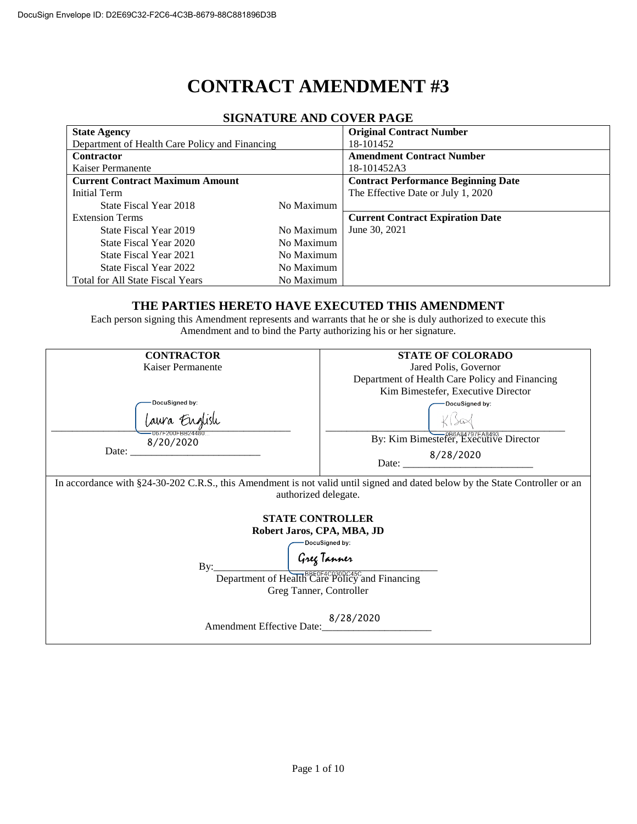# **CONTRACT AMENDMENT #3**

| 91911/11 01\12 /11 1D CO 1 12N 1 /1\012        |            |                                            |  |  |  |  |
|------------------------------------------------|------------|--------------------------------------------|--|--|--|--|
| <b>State Agency</b>                            |            | <b>Original Contract Number</b>            |  |  |  |  |
| Department of Health Care Policy and Financing |            | 18-101452                                  |  |  |  |  |
| <b>Contractor</b>                              |            | <b>Amendment Contract Number</b>           |  |  |  |  |
| Kaiser Permanente                              |            | 18-101452A3                                |  |  |  |  |
| <b>Current Contract Maximum Amount</b>         |            | <b>Contract Performance Beginning Date</b> |  |  |  |  |
| Initial Term                                   |            | The Effective Date or July 1, 2020         |  |  |  |  |
| State Fiscal Year 2018                         | No Maximum |                                            |  |  |  |  |
| <b>Extension Terms</b>                         |            | <b>Current Contract Expiration Date</b>    |  |  |  |  |
| State Fiscal Year 2019                         | No Maximum | June 30, 2021                              |  |  |  |  |
| State Fiscal Year 2020                         | No Maximum |                                            |  |  |  |  |
| State Fiscal Year 2021                         | No Maximum |                                            |  |  |  |  |
| State Fiscal Year 2022                         | No Maximum |                                            |  |  |  |  |
| Total for All State Fiscal Years               | No Maximum |                                            |  |  |  |  |

## **SIGNATURE AND COVER PAGE**

#### **THE PARTIES HERETO HAVE EXECUTED THIS AMENDMENT**

Each person signing this Amendment represents and warrants that he or she is duly authorized to execute this Amendment and to bind the Party authorizing his or her signature.

| <b>CONTRACTOR</b>                                                                                                                                    | <b>STATE OF COLORADO</b>                       |  |  |  |  |
|------------------------------------------------------------------------------------------------------------------------------------------------------|------------------------------------------------|--|--|--|--|
| Kaiser Permanente                                                                                                                                    | Jared Polis, Governor                          |  |  |  |  |
|                                                                                                                                                      | Department of Health Care Policy and Financing |  |  |  |  |
|                                                                                                                                                      | Kim Bimestefer, Executive Director             |  |  |  |  |
| DocuSigned by:                                                                                                                                       | DocuSigned by:                                 |  |  |  |  |
| Laura English<br>067F200FBB24480                                                                                                                     |                                                |  |  |  |  |
| 8/20/2020                                                                                                                                            | By: Kim Bimestefer, Executive Director         |  |  |  |  |
|                                                                                                                                                      | Date: 8/28/2020                                |  |  |  |  |
| In accordance with §24-30-202 C.R.S., this Amendment is not valid until signed and dated below by the State Controller or an<br>authorized delegate. |                                                |  |  |  |  |
| <b>STATE CONTROLLER</b>                                                                                                                              |                                                |  |  |  |  |
| Robert Jaros, CPA, MBA, JD                                                                                                                           |                                                |  |  |  |  |
|                                                                                                                                                      | DocuSigned by:                                 |  |  |  |  |
| Greg Tanner<br>By:<br>Department of Health Care Policy and Financing<br>Greg Tanner, Controller                                                      |                                                |  |  |  |  |
| Amendment Effective Date:                                                                                                                            | 8/28/2020                                      |  |  |  |  |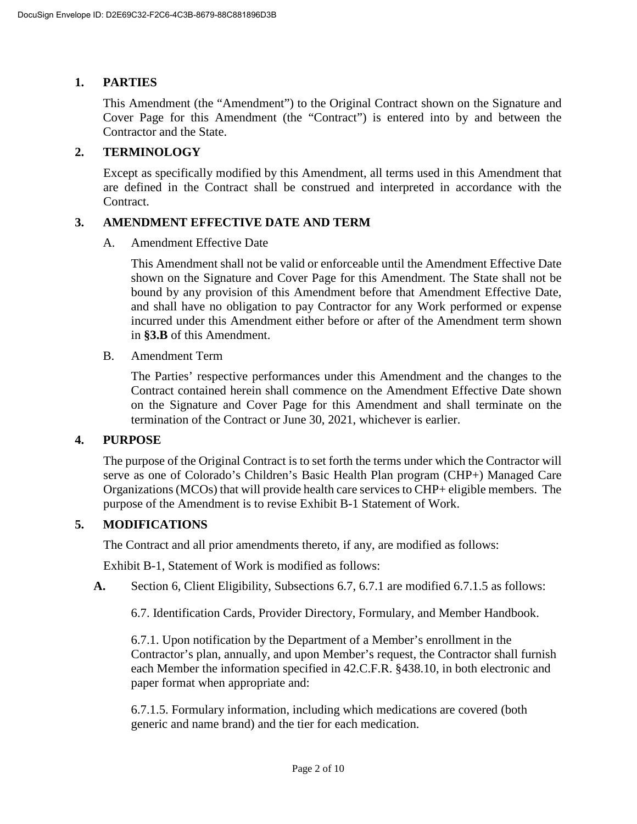# **1. PARTIES**

This Amendment (the "Amendment") to the Original Contract shown on the Signature and Cover Page for this Amendment (the "Contract") is entered into by and between the Contractor and the State.

## **2. TERMINOLOGY**

Except as specifically modified by this Amendment, all terms used in this Amendment that are defined in the Contract shall be construed and interpreted in accordance with the Contract.

#### **3. AMENDMENT EFFECTIVE DATE AND TERM**

A. Amendment Effective Date

This Amendment shall not be valid or enforceable until the Amendment Effective Date shown on the Signature and Cover Page for this Amendment. The State shall not be bound by any provision of this Amendment before that Amendment Effective Date, and shall have no obligation to pay Contractor for any Work performed or expense incurred under this Amendment either before or after of the Amendment term shown in **[§3.B](#page--1-0)** of this Amendment.

B. Amendment Term

The Parties' respective performances under this Amendment and the changes to the Contract contained herein shall commence on the Amendment Effective Date shown on the Signature and Cover Page for this Amendment and shall terminate on the termination of the Contract or June 30, 2021, whichever is earlier.

#### **4. PURPOSE**

The purpose of the Original Contract is to set forth the terms under which the Contractor will serve as one of Colorado's Children's Basic Health Plan program (CHP+) Managed Care Organizations (MCOs) that will provide health care services to CHP+ eligible members. The purpose of the Amendment is to revise Exhibit B-1 Statement of Work.

## **5. MODIFICATIONS**

The Contract and all prior amendments thereto, if any, are modified as follows:

Exhibit B-1, Statement of Work is modified as follows:

**A.** Section 6, Client Eligibility, Subsections 6.7, 6.7.1 are modified 6.7.1.5 as follows:

6.7. Identification Cards, Provider Directory, Formulary, and Member Handbook.

6.7.1. Upon notification by the Department of a Member's enrollment in the Contractor's plan, annually, and upon Member's request, the Contractor shall furnish each Member the information specified in 42.C.F.R. §438.10, in both electronic and paper format when appropriate and:

6.7.1.5. Formulary information, including which medications are covered (both generic and name brand) and the tier for each medication.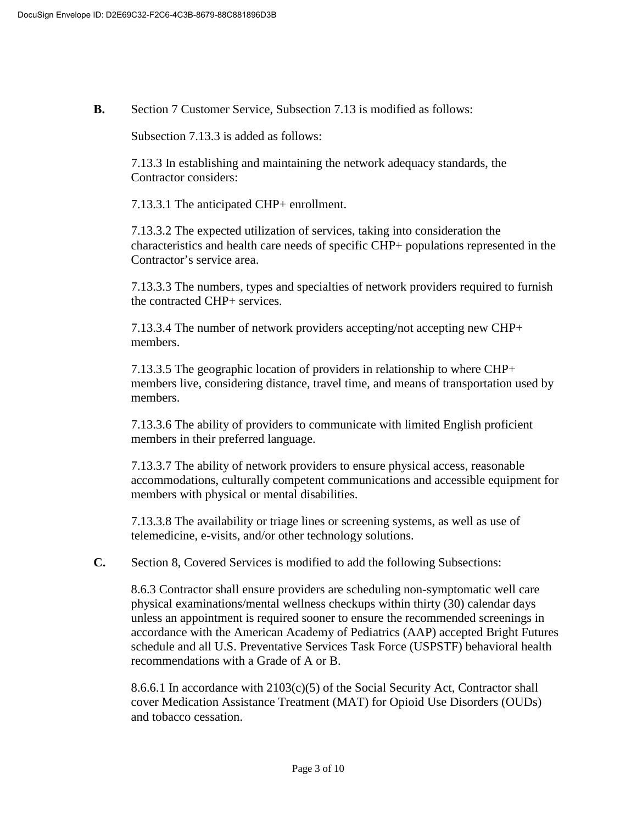**B.** Section 7 Customer Service, Subsection 7.13 is modified as follows:

Subsection 7.13.3 is added as follows:

7.13.3 In establishing and maintaining the network adequacy standards, the Contractor considers:

7.13.3.1 The anticipated CHP+ enrollment.

7.13.3.2 The expected utilization of services, taking into consideration the characteristics and health care needs of specific CHP+ populations represented in the Contractor's service area.

7.13.3.3 The numbers, types and specialties of network providers required to furnish the contracted CHP+ services.

7.13.3.4 The number of network providers accepting/not accepting new CHP+ members.

7.13.3.5 The geographic location of providers in relationship to where CHP+ members live, considering distance, travel time, and means of transportation used by members.

7.13.3.6 The ability of providers to communicate with limited English proficient members in their preferred language.

7.13.3.7 The ability of network providers to ensure physical access, reasonable accommodations, culturally competent communications and accessible equipment for members with physical or mental disabilities.

7.13.3.8 The availability or triage lines or screening systems, as well as use of telemedicine, e-visits, and/or other technology solutions.

**C.** Section 8, Covered Services is modified to add the following Subsections:

8.6.3 Contractor shall ensure providers are scheduling non-symptomatic well care physical examinations/mental wellness checkups within thirty (30) calendar days unless an appointment is required sooner to ensure the recommended screenings in accordance with the American Academy of Pediatrics (AAP) accepted Bright Futures schedule and all U.S. Preventative Services Task Force (USPSTF) behavioral health recommendations with a Grade of A or B.

8.6.6.1 In accordance with  $2103(c)(5)$  of the Social Security Act, Contractor shall cover Medication Assistance Treatment (MAT) for Opioid Use Disorders (OUDs) and tobacco cessation.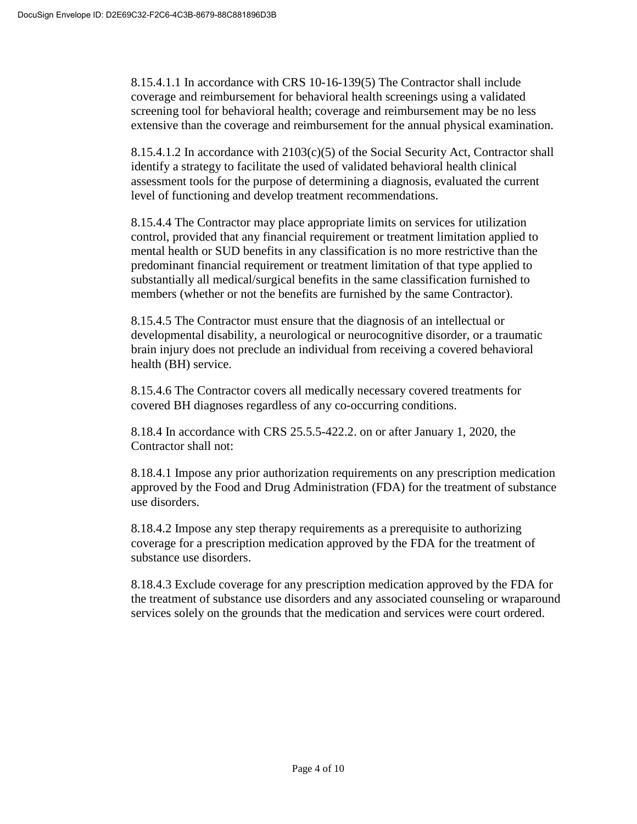8.15.4.1.1 In accordance with CRS 10-16-139(5) The Contractor shall include coverage and reimbursement for behavioral health screenings using a validated screening tool for behavioral health; coverage and reimbursement may be no less extensive than the coverage and reimbursement for the annual physical examination.

8.15.4.1.2 In accordance with 2103(c)(5) of the Social Security Act, Contractor shall identify a strategy to facilitate the used of validated behavioral health clinical assessment tools for the purpose of determining a diagnosis, evaluated the current level of functioning and develop treatment recommendations.

8.15.4.4 The Contractor may place appropriate limits on services for utilization control, provided that any financial requirement or treatment limitation applied to mental health or SUD benefits in any classification is no more restrictive than the predominant financial requirement or treatment limitation of that type applied to substantially all medical/surgical benefits in the same classification furnished to members (whether or not the benefits are furnished by the same Contractor).

8.15.4.5 The Contractor must ensure that the diagnosis of an intellectual or developmental disability, a neurological or neurocognitive disorder, or a traumatic brain injury does not preclude an individual from receiving a covered behavioral health (BH) service.

8.15.4.6 The Contractor covers all medically necessary covered treatments for covered BH diagnoses regardless of any co-occurring conditions.

8.18.4 In accordance with CRS 25.5.5-422.2. on or after January 1, 2020, the Contractor shall not:

8.18.4.1 Impose any prior authorization requirements on any prescription medication approved by the Food and Drug Administration (FDA) for the treatment of substance use disorders.

8.18.4.2 Impose any step therapy requirements as a prerequisite to authorizing coverage for a prescription medication approved by the FDA for the treatment of substance use disorders.

8.18.4.3 Exclude coverage for any prescription medication approved by the FDA for the treatment of substance use disorders and any associated counseling or wraparound services solely on the grounds that the medication and services were court ordered.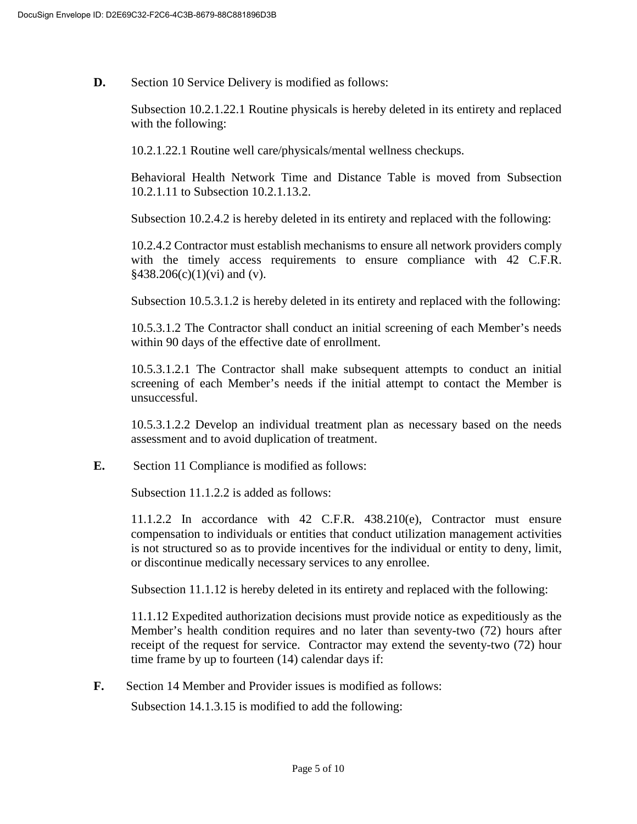**D.** Section 10 Service Delivery is modified as follows:

Subsection 10.2.1.22.1 Routine physicals is hereby deleted in its entirety and replaced with the following:

10.2.1.22.1 Routine well care/physicals/mental wellness checkups.

Behavioral Health Network Time and Distance Table is moved from Subsection 10.2.1.11 to Subsection 10.2.1.13.2.

Subsection 10.2.4.2 is hereby deleted in its entirety and replaced with the following:

10.2.4.2 Contractor must establish mechanisms to ensure all network providers comply with the timely access requirements to ensure compliance with 42 C.F.R.  $§438.206(c)(1)(vi)$  and (v).

Subsection 10.5.3.1.2 is hereby deleted in its entirety and replaced with the following:

10.5.3.1.2 The Contractor shall conduct an initial screening of each Member's needs within 90 days of the effective date of enrollment.

10.5.3.1.2.1 The Contractor shall make subsequent attempts to conduct an initial screening of each Member's needs if the initial attempt to contact the Member is unsuccessful.

10.5.3.1.2.2 Develop an individual treatment plan as necessary based on the needs assessment and to avoid duplication of treatment.

**E.** Section 11 Compliance is modified as follows:

Subsection 11.1.2.2 is added as follows:

11.1.2.2 In accordance with 42 C.F.R. 438.210(e), Contractor must ensure compensation to individuals or entities that conduct utilization management activities is not structured so as to provide incentives for the individual or entity to deny, limit, or discontinue medically necessary services to any enrollee.

Subsection 11.1.12 is hereby deleted in its entirety and replaced with the following:

11.1.12 Expedited authorization decisions must provide notice as expeditiously as the Member's health condition requires and no later than seventy-two (72) hours after receipt of the request for service. Contractor may extend the seventy-two (72) hour time frame by up to fourteen (14) calendar days if:

**F.** Section 14 Member and Provider issues is modified as follows:

Subsection 14.1.3.15 is modified to add the following: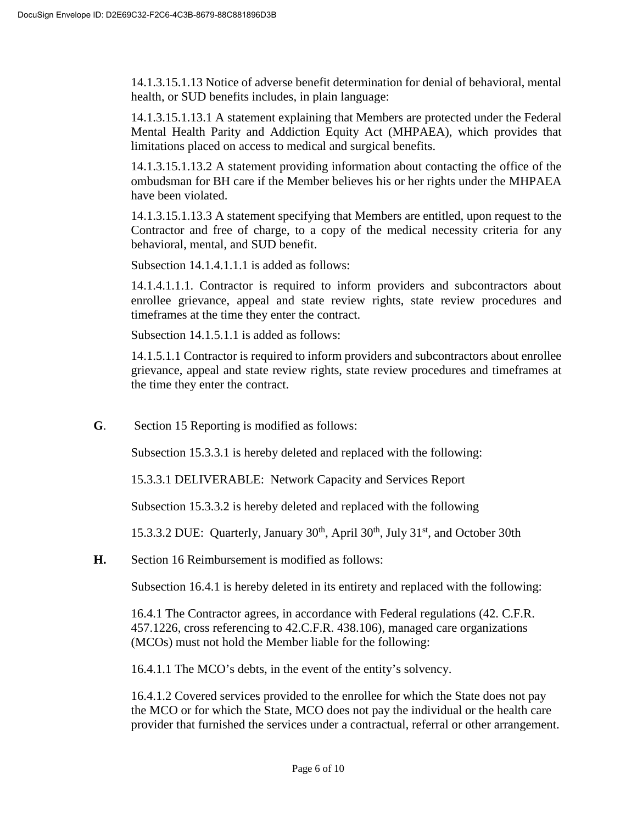14.1.3.15.1.13 Notice of adverse benefit determination for denial of behavioral, mental health, or SUD benefits includes, in plain language:

14.1.3.15.1.13.1 A statement explaining that Members are protected under the Federal Mental Health Parity and Addiction Equity Act (MHPAEA), which provides that limitations placed on access to medical and surgical benefits.

14.1.3.15.1.13.2 A statement providing information about contacting the office of the ombudsman for BH care if the Member believes his or her rights under the MHPAEA have been violated.

14.1.3.15.1.13.3 A statement specifying that Members are entitled, upon request to the Contractor and free of charge, to a copy of the medical necessity criteria for any behavioral, mental, and SUD benefit.

Subsection 14.1.4.1.1.1 is added as follows:

14.1.4.1.1.1. Contractor is required to inform providers and subcontractors about enrollee grievance, appeal and state review rights, state review procedures and timeframes at the time they enter the contract.

Subsection 14.1.5.1.1 is added as follows:

14.1.5.1.1 Contractor is required to inform providers and subcontractors about enrollee grievance, appeal and state review rights, state review procedures and timeframes at the time they enter the contract.

**G**. Section 15 Reporting is modified as follows:

Subsection 15.3.3.1 is hereby deleted and replaced with the following:

15.3.3.1 DELIVERABLE: Network Capacity and Services Report

Subsection 15.3.3.2 is hereby deleted and replaced with the following

15.3.3.2 DUE: Quarterly, January  $30<sup>th</sup>$ , April  $30<sup>th</sup>$ , July  $31<sup>st</sup>$ , and October 30th

**H.** Section 16 Reimbursement is modified as follows:

Subsection 16.4.1 is hereby deleted in its entirety and replaced with the following:

16.4.1 The Contractor agrees, in accordance with Federal regulations (42. C.F.R. 457.1226, cross referencing to 42.C.F.R. 438.106), managed care organizations (MCOs) must not hold the Member liable for the following:

16.4.1.1 The MCO's debts, in the event of the entity's solvency.

16.4.1.2 Covered services provided to the enrollee for which the State does not pay the MCO or for which the State, MCO does not pay the individual or the health care provider that furnished the services under a contractual, referral or other arrangement.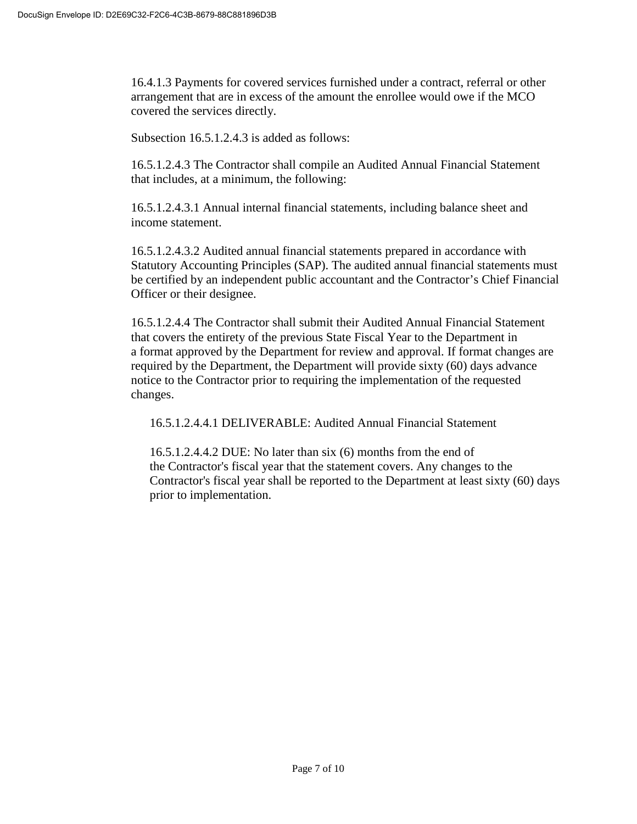16.4.1.3 Payments for covered services furnished under a contract, referral or other arrangement that are in excess of the amount the enrollee would owe if the MCO covered the services directly.

Subsection 16.5.1.2.4.3 is added as follows:

16.5.1.2.4.3 The Contractor shall compile an Audited Annual Financial Statement that includes, at a minimum, the following:

16.5.1.2.4.3.1 Annual internal financial statements, including balance sheet and income statement.

16.5.1.2.4.3.2 Audited annual financial statements prepared in accordance with Statutory Accounting Principles (SAP). The audited annual financial statements must be certified by an independent public accountant and the Contractor's Chief Financial Officer or their designee.

16.5.1.2.4.4 The Contractor shall submit their Audited Annual Financial Statement that covers the entirety of the previous State Fiscal Year to the Department in a format approved by the Department for review and approval. If format changes are required by the Department, the Department will provide sixty (60) days advance notice to the Contractor prior to requiring the implementation of the requested changes.

16.5.1.2.4.4.1 DELIVERABLE: Audited Annual Financial Statement

16.5.1.2.4.4.2 DUE: No later than six (6) months from the end of the Contractor's fiscal year that the statement covers. Any changes to the Contractor's fiscal year shall be reported to the Department at least sixty (60) days prior to implementation.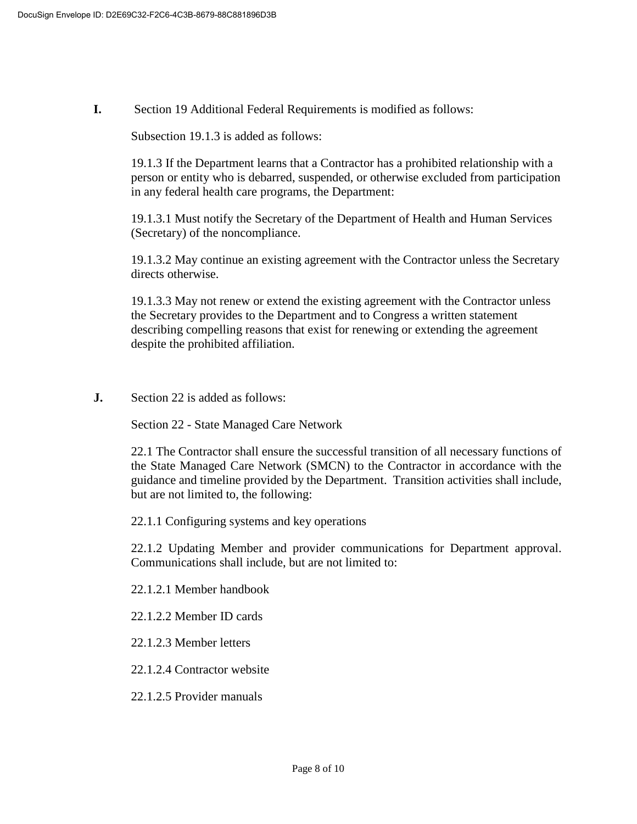**I.** Section 19 Additional Federal Requirements is modified as follows:

Subsection 19.1.3 is added as follows:

19.1.3 If the Department learns that a Contractor has a prohibited relationship with a person or entity who is debarred, suspended, or otherwise excluded from participation in any federal health care programs, the Department:

19.1.3.1 Must notify the Secretary of the Department of Health and Human Services (Secretary) of the noncompliance.

19.1.3.2 May continue an existing agreement with the Contractor unless the Secretary directs otherwise.

19.1.3.3 May not renew or extend the existing agreement with the Contractor unless the Secretary provides to the Department and to Congress a written statement describing compelling reasons that exist for renewing or extending the agreement despite the prohibited affiliation.

**J.** Section 22 is added as follows:

Section 22 - State Managed Care Network

22.1 The Contractor shall ensure the successful transition of all necessary functions of the State Managed Care Network (SMCN) to the Contractor in accordance with the guidance and timeline provided by the Department. Transition activities shall include, but are not limited to, the following:

22.1.1 Configuring systems and key operations

22.1.2 Updating Member and provider communications for Department approval. Communications shall include, but are not limited to:

22.1.2.1 Member handbook

22.1.2.2 Member ID cards

22.1.2.3 Member letters

22.1.2.4 Contractor website

22.1.2.5 Provider manuals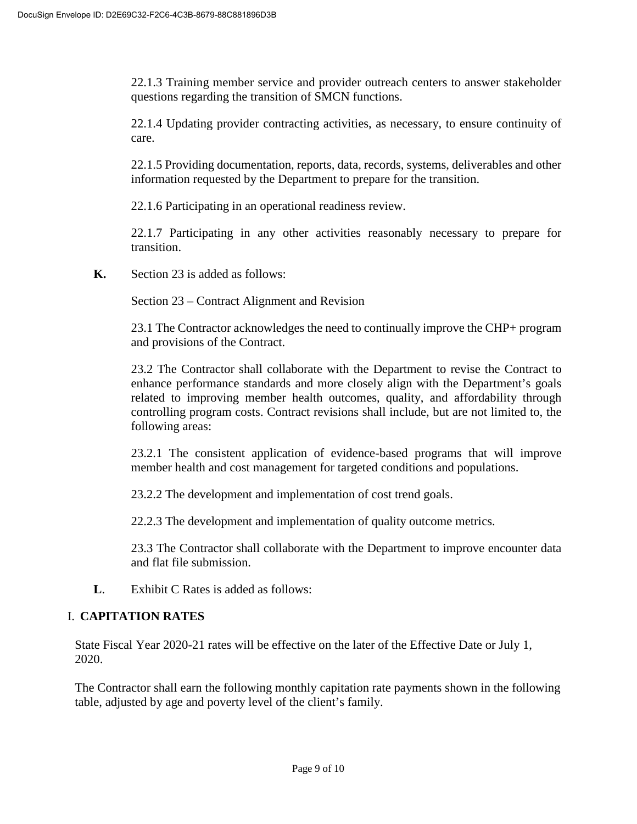22.1.3 Training member service and provider outreach centers to answer stakeholder questions regarding the transition of SMCN functions.

22.1.4 Updating provider contracting activities, as necessary, to ensure continuity of care.

22.1.5 Providing documentation, reports, data, records, systems, deliverables and other information requested by the Department to prepare for the transition.

22.1.6 Participating in an operational readiness review.

22.1.7 Participating in any other activities reasonably necessary to prepare for transition.

**K.** Section 23 is added as follows:

Section 23 – Contract Alignment and Revision

23.1 The Contractor acknowledges the need to continually improve the CHP+ program and provisions of the Contract.

23.2 The Contractor shall collaborate with the Department to revise the Contract to enhance performance standards and more closely align with the Department's goals related to improving member health outcomes, quality, and affordability through controlling program costs. Contract revisions shall include, but are not limited to, the following areas:

23.2.1 The consistent application of evidence-based programs that will improve member health and cost management for targeted conditions and populations.

23.2.2 The development and implementation of cost trend goals.

22.2.3 The development and implementation of quality outcome metrics.

23.3 The Contractor shall collaborate with the Department to improve encounter data and flat file submission.

**L**. Exhibit C Rates is added as follows:

## I. **CAPITATION RATES**

State Fiscal Year 2020-21 rates will be effective on the later of the Effective Date or July 1, 2020.

The Contractor shall earn the following monthly capitation rate payments shown in the following table, adjusted by age and poverty level of the client's family.